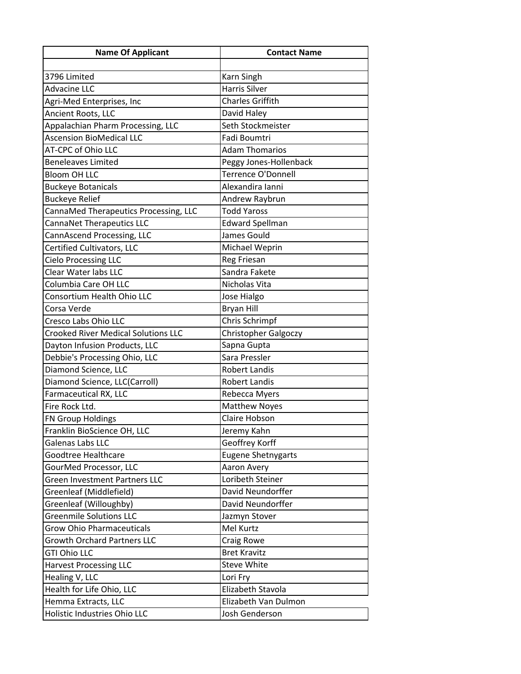| <b>Name Of Applicant</b>                   | <b>Contact Name</b>       |
|--------------------------------------------|---------------------------|
|                                            |                           |
| 3796 Limited                               | Karn Singh                |
| <b>Advacine LLC</b>                        | <b>Harris Silver</b>      |
| Agri-Med Enterprises, Inc                  | Charles Griffith          |
| Ancient Roots, LLC                         | David Haley               |
| Appalachian Pharm Processing, LLC          | Seth Stockmeister         |
| <b>Ascension BioMedical LLC</b>            | Fadi Boumtri              |
| AT-CPC of Ohio LLC                         | <b>Adam Thomarios</b>     |
| <b>Beneleaves Limited</b>                  | Peggy Jones-Hollenback    |
| <b>Bloom OH LLC</b>                        | Terrence O'Donnell        |
| <b>Buckeye Botanicals</b>                  | Alexandira Ianni          |
| <b>Buckeye Relief</b>                      | Andrew Raybrun            |
| CannaMed Therapeutics Processing, LLC      | <b>Todd Yaross</b>        |
| CannaNet Therapeutics LLC                  | <b>Edward Spellman</b>    |
| CannAscend Processing, LLC                 | James Gould               |
| Certified Cultivators, LLC                 | Michael Weprin            |
| <b>Cielo Processing LLC</b>                | Reg Friesan               |
| Clear Water labs LLC                       | Sandra Fakete             |
| Columbia Care OH LLC                       | Nicholas Vita             |
| Consortium Health Ohio LLC                 | Jose Hialgo               |
| Corsa Verde                                | <b>Bryan Hill</b>         |
| Cresco Labs Ohio LLC                       | Chris Schrimpf            |
| <b>Crooked River Medical Solutions LLC</b> | Christopher Galgoczy      |
| Dayton Infusion Products, LLC              | Sapna Gupta               |
| Debbie's Processing Ohio, LLC              | Sara Pressler             |
| Diamond Science, LLC                       | <b>Robert Landis</b>      |
| Diamond Science, LLC(Carroll)              | <b>Robert Landis</b>      |
| Farmaceutical RX, LLC                      | Rebecca Myers             |
| Fire Rock Ltd.                             | Matthew Noyes             |
| FN Group Holdings                          | Claire Hobson             |
| Franklin BioScience OH, LLC                | Jeremy Kahn               |
| Galenas Labs LLC                           | Geoffrey Korff            |
| Goodtree Healthcare                        | <b>Eugene Shetnygarts</b> |
| GourMed Processor, LLC                     | Aaron Avery               |
| <b>Green Investment Partners LLC</b>       | Loribeth Steiner          |
| Greenleaf (Middlefield)                    | David Neundorffer         |
| Greenleaf (Willoughby)                     | David Neundorffer         |
| <b>Greenmile Solutions LLC</b>             | Jazmyn Stover             |
| <b>Grow Ohio Pharmaceuticals</b>           | Mel Kurtz                 |
| <b>Growth Orchard Partners LLC</b>         | Craig Rowe                |
| <b>GTI Ohio LLC</b>                        | <b>Bret Kravitz</b>       |
| <b>Harvest Processing LLC</b>              | <b>Steve White</b>        |
| Healing V, LLC                             | Lori Fry                  |
| Health for Life Ohio, LLC                  | Elizabeth Stavola         |
| Hemma Extracts, LLC                        | Elizabeth Van Dulmon      |
| Holistic Industries Ohio LLC               | Josh Genderson            |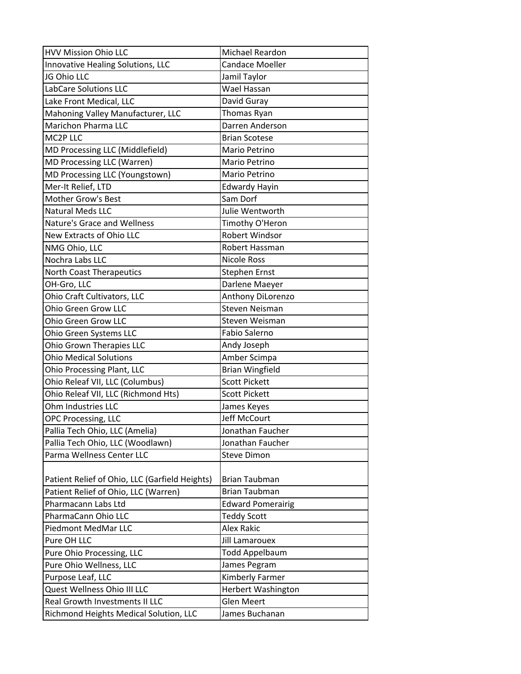| <b>HVV Mission Ohio LLC</b>                    | Michael Reardon          |
|------------------------------------------------|--------------------------|
| Innovative Healing Solutions, LLC              | <b>Candace Moeller</b>   |
| JG Ohio LLC                                    | Jamil Taylor             |
| <b>LabCare Solutions LLC</b>                   | Wael Hassan              |
| Lake Front Medical, LLC                        | David Guray              |
| Mahoning Valley Manufacturer, LLC              | Thomas Ryan              |
| Marichon Pharma LLC                            | Darren Anderson          |
| MC2P LLC                                       | <b>Brian Scotese</b>     |
| MD Processing LLC (Middlefield)                | Mario Petrino            |
| MD Processing LLC (Warren)                     | Mario Petrino            |
| MD Processing LLC (Youngstown)                 | Mario Petrino            |
| Mer-It Relief, LTD                             | <b>Edwardy Hayin</b>     |
| Mother Grow's Best                             | Sam Dorf                 |
| <b>Natural Meds LLC</b>                        | Julie Wentworth          |
| <b>Nature's Grace and Wellness</b>             | Timothy O'Heron          |
| New Extracts of Ohio LLC                       | Robert Windsor           |
| NMG Ohio, LLC                                  | Robert Hassman           |
| Nochra Labs LLC                                | <b>Nicole Ross</b>       |
| <b>North Coast Therapeutics</b>                | <b>Stephen Ernst</b>     |
| OH-Gro, LLC                                    | Darlene Maeyer           |
| Ohio Craft Cultivators, LLC                    | Anthony DiLorenzo        |
| <b>Ohio Green Grow LLC</b>                     | Steven Neisman           |
| Ohio Green Grow LLC                            | Steven Weisman           |
| Ohio Green Systems LLC                         | Fabio Salerno            |
| <b>Ohio Grown Therapies LLC</b>                | Andy Joseph              |
| <b>Ohio Medical Solutions</b>                  | Amber Scimpa             |
| <b>Ohio Processing Plant, LLC</b>              | <b>Brian Wingfield</b>   |
| Ohio Releaf VII, LLC (Columbus)                | <b>Scott Pickett</b>     |
| Ohio Releaf VII, LLC (Richmond Hts)            | <b>Scott Pickett</b>     |
| Ohm Industries LLC                             | James Keyes              |
| <b>OPC Processing, LLC</b>                     | Jeff McCourt             |
| Pallia Tech Ohio, LLC (Amelia)                 | Jonathan Faucher         |
| Pallia Tech Ohio, LLC (Woodlawn)               | Jonathan Faucher         |
| Parma Wellness Center LLC                      | <b>Steve Dimon</b>       |
|                                                |                          |
| Patient Relief of Ohio, LLC (Garfield Heights) | <b>Brian Taubman</b>     |
| Patient Relief of Ohio, LLC (Warren)           | <b>Brian Taubman</b>     |
| Pharmacann Labs Ltd                            | <b>Edward Pomerairig</b> |
| PharmaCann Ohio LLC                            | <b>Teddy Scott</b>       |
| Piedmont MedMar LLC                            | Alex Rakic               |
| Pure OH LLC                                    | <b>Jill Lamarouex</b>    |
| Pure Ohio Processing, LLC                      | <b>Todd Appelbaum</b>    |
| Pure Ohio Wellness, LLC                        | James Pegram             |
| Purpose Leaf, LLC                              | Kimberly Farmer          |
| Quest Wellness Ohio III LLC                    | Herbert Washington       |
| Real Growth Investments II LLC                 | <b>Glen Meert</b>        |
| Richmond Heights Medical Solution, LLC         | James Buchanan           |